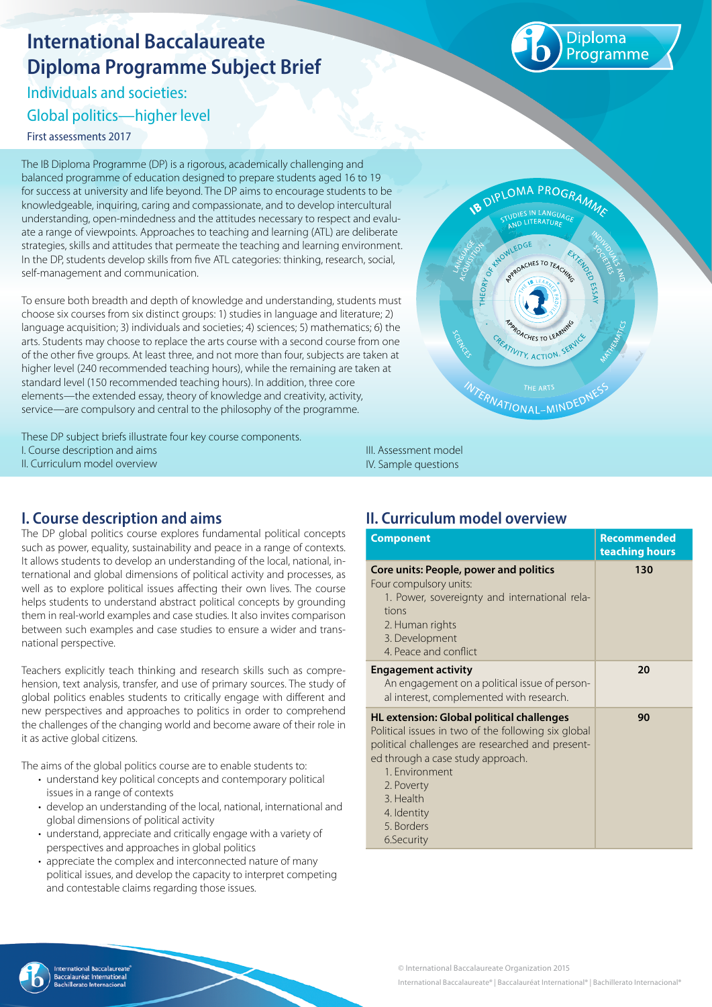# **International Baccalaureate Diploma Programme Subject Brief**

Individuals and societies:

Global politics—higher level

First assessments 2017

The IB Diploma Programme (DP) is a rigorous, academically challenging and balanced programme of education designed to prepare students aged 16 to 19 for success at university and life beyond. The DP aims to encourage students to be knowledgeable, inquiring, caring and compassionate, and to develop intercultural understanding, open-mindedness and the attitudes necessary to respect and evaluate a range of viewpoints. Approaches to teaching and learning (ATL) are deliberate strategies, skills and attitudes that permeate the teaching and learning environment. In the DP, students develop skills from five ATL categories: thinking, research, social, self-management and communication.

To ensure both breadth and depth of knowledge and understanding, students must choose six courses from six distinct groups: 1) studies in language and literature; 2) language acquisition; 3) individuals and societies; 4) sciences; 5) mathematics; 6) the arts. Students may choose to replace the arts course with a second course from one of the other five groups. At least three, and not more than four, subjects are taken at higher level (240 recommended teaching hours), while the remaining are taken at standard level (150 recommended teaching hours). In addition, three core elements—the extended essay, theory of knowledge and creativity, activity, service—are compulsory and central to the philosophy of the programme.

These DP subject briefs illustrate four key course components. I. Course description and aims II. Curriculum model overview

# **B** DIPLOMA PROGRAMM **IVITY, ACTION INTERNATIONAL-MIND**

III. Assessment model IV. Sample questions

# **I. Course description and aims**

The DP global politics course explores fundamental political concepts such as power, equality, sustainability and peace in a range of contexts. It allows students to develop an understanding of the local, national, international and global dimensions of political activity and processes, as well as to explore political issues affecting their own lives. The course helps students to understand abstract political concepts by grounding them in real-world examples and case studies. It also invites comparison between such examples and case studies to ensure a wider and transnational perspective.

Teachers explicitly teach thinking and research skills such as comprehension, text analysis, transfer, and use of primary sources. The study of global politics enables students to critically engage with different and new perspectives and approaches to politics in order to comprehend the challenges of the changing world and become aware of their role in it as active global citizens.

The aims of the global politics course are to enable students to:

- understand key political concepts and contemporary political issues in a range of contexts
- develop an understanding of the local, national, international and global dimensions of political activity
- understand, appreciate and critically engage with a variety of perspectives and approaches in global politics
- appreciate the complex and interconnected nature of many political issues, and develop the capacity to interpret competing and contestable claims regarding those issues.

# **II. Curriculum model overview**

| <b>Component</b>                                                                                                                                                                                                                                                                         | <b>Recommended</b><br>teaching hours |
|------------------------------------------------------------------------------------------------------------------------------------------------------------------------------------------------------------------------------------------------------------------------------------------|--------------------------------------|
| Core units: People, power and politics<br>Four compulsory units:<br>1. Power, sovereignty and international rela-<br>tions<br>2. Human rights<br>3. Development<br>4. Peace and conflict                                                                                                 | 130                                  |
| <b>Engagement activity</b><br>An engagement on a political issue of person-<br>al interest, complemented with research.                                                                                                                                                                  | 20                                   |
| <b>HL</b> extension: Global political challenges<br>Political issues in two of the following six global<br>political challenges are researched and present-<br>ed through a case study approach.<br>1. Environment<br>2. Poverty<br>3. Health<br>4. Identity<br>5. Borders<br>6.Security | 90                                   |